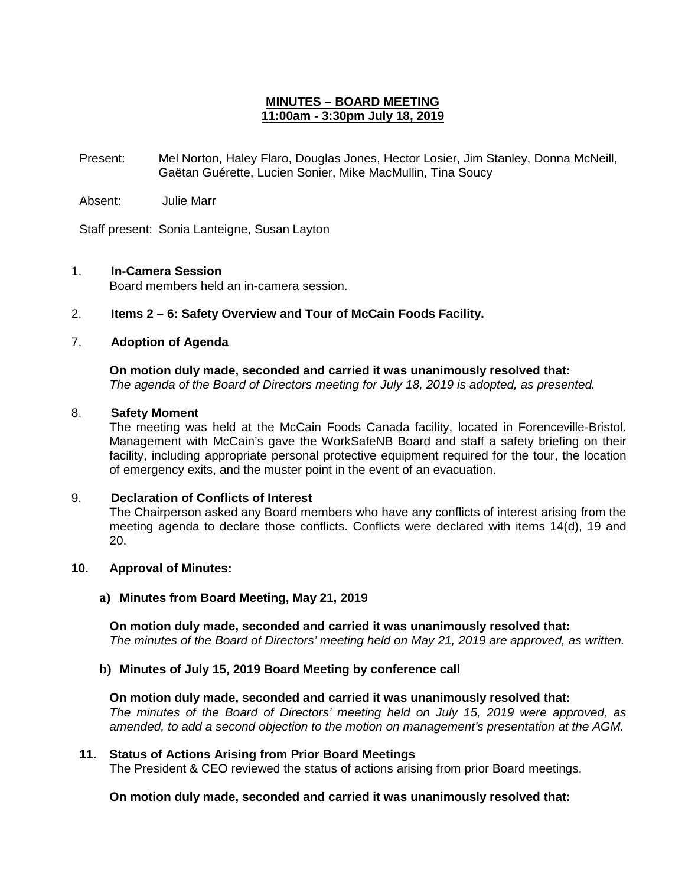# **MINUTES – BOARD MEETING 11:00am - 3:30pm July 18, 2019**

Present: Mel Norton, Haley Flaro, Douglas Jones, Hector Losier, Jim Stanley, Donna McNeill, Gaëtan Guérette, Lucien Sonier, Mike MacMullin, Tina Soucy

Absent: Julie Marr

Staff present: Sonia Lanteigne, Susan Layton

# 1. **In-Camera Session**

Board members held an in-camera session.

2. **Items 2 – 6: Safety Overview and Tour of McCain Foods Facility.**

# 7. **Adoption of Agenda**

**On motion duly made, seconded and carried it was unanimously resolved that:** *The agenda of the Board of Directors meeting for July 18, 2019 is adopted, as presented.*

#### 8. **Safety Moment**

The meeting was held at the McCain Foods Canada facility, located in Forenceville-Bristol. Management with McCain's gave the WorkSafeNB Board and staff a safety briefing on their facility, including appropriate personal protective equipment required for the tour, the location of emergency exits, and the muster point in the event of an evacuation.

#### 9. **Declaration of Conflicts of Interest**

The Chairperson asked any Board members who have any conflicts of interest arising from the meeting agenda to declare those conflicts. Conflicts were declared with items 14(d), 19 and 20.

#### **10. Approval of Minutes:**

#### **a) Minutes from Board Meeting, May 21, 2019**

**On motion duly made, seconded and carried it was unanimously resolved that:** *The minutes of the Board of Directors' meeting held on May 21, 2019 are approved, as written.*

#### **b) Minutes of July 15, 2019 Board Meeting by conference call**

# **On motion duly made, seconded and carried it was unanimously resolved that:**

*The minutes of the Board of Directors' meeting held on July 15, 2019 were approved, as amended, to add a second objection to the motion on management's presentation at the AGM.*

# **11. Status of Actions Arising from Prior Board Meetings**

The President & CEO reviewed the status of actions arising from prior Board meetings.

#### **On motion duly made, seconded and carried it was unanimously resolved that:**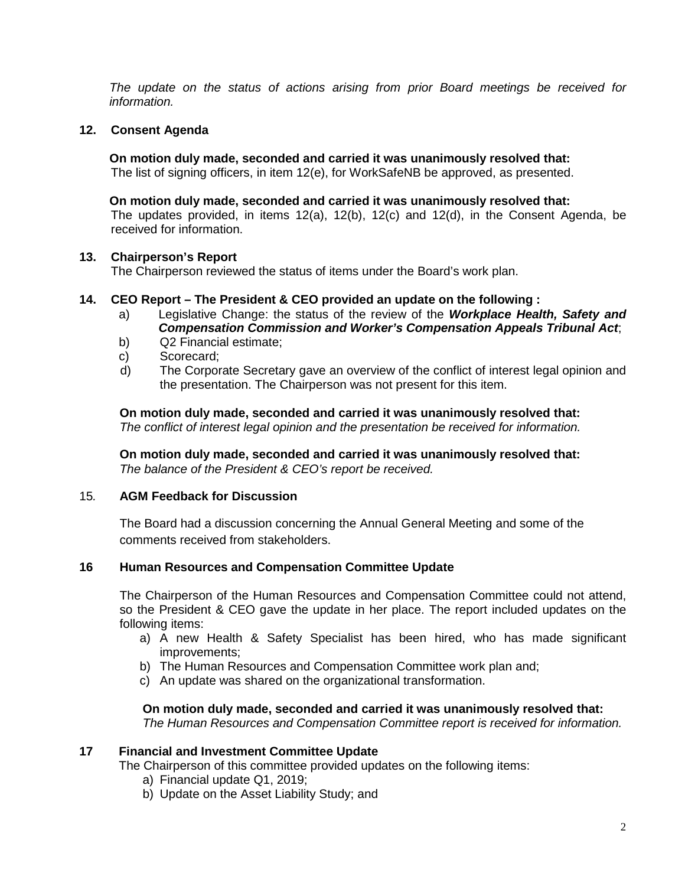*The update on the status of actions arising from prior Board meetings be received for information.* 

# **12. Consent Agenda**

**On motion duly made, seconded and carried it was unanimously resolved that:** The list of signing officers, in item 12(e), for WorkSafeNB be approved, as presented.

#### **On motion duly made, seconded and carried it was unanimously resolved that:**

The updates provided, in items 12(a), 12(b), 12(c) and 12(d), in the Consent Agenda, be received for information.

# **13. Chairperson's Report**

The Chairperson reviewed the status of items under the Board's work plan.

# **14. CEO Report – The President & CEO provided an update on the following :**

- a) Legislative Change: the status of the review of the *Workplace Health, Safety and Compensation Commission and Worker's Compensation Appeals Tribunal Act*;
- b) Q2 Financial estimate;
- c) Scorecard;
- d) The Corporate Secretary gave an overview of the conflict of interest legal opinion and the presentation. The Chairperson was not present for this item.

**On motion duly made, seconded and carried it was unanimously resolved that:** *The conflict of interest legal opinion and the presentation be received for information.* 

**On motion duly made, seconded and carried it was unanimously resolved that:** *The balance of the President & CEO's report be received.*

## 15*.* **AGM Feedback for Discussion**

The Board had a discussion concerning the Annual General Meeting and some of the comments received from stakeholders.

#### **16 Human Resources and Compensation Committee Update**

The Chairperson of the Human Resources and Compensation Committee could not attend, so the President & CEO gave the update in her place. The report included updates on the following items:

- a) A new Health & Safety Specialist has been hired, who has made significant improvements;
- b) The Human Resources and Compensation Committee work plan and;
- c) An update was shared on the organizational transformation.

# **On motion duly made, seconded and carried it was unanimously resolved that:**

*The Human Resources and Compensation Committee report is received for information.*

# **17 Financial and Investment Committee Update**

The Chairperson of this committee provided updates on the following items:

- a) Financial update Q1, 2019;
- b) Update on the Asset Liability Study; and